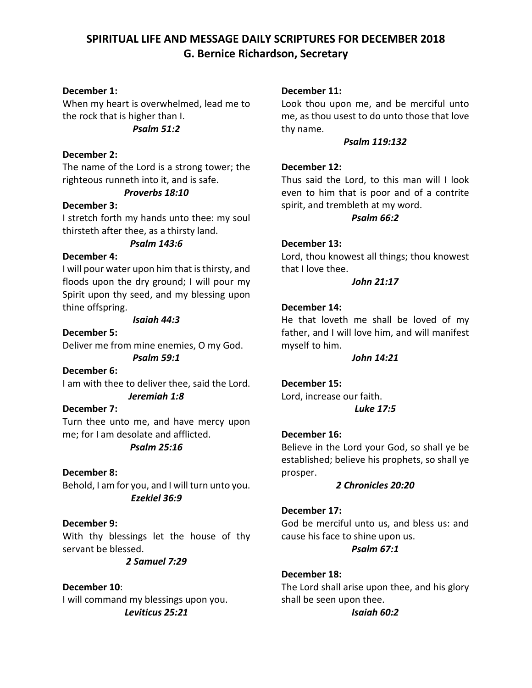# **SPIRITUAL LIFE AND MESSAGE DAILY SCRIPTURES FOR DECEMBER 2018 G. Bernice Richardson, Secretary**

## **December 1:**

When my heart is overwhelmed, lead me to the rock that is higher than I. *Psalm 51:2*

## **December 2:**

The name of the Lord is a strong tower; the righteous runneth into it, and is safe.

## *Proverbs 18:10*

## **December 3:**

I stretch forth my hands unto thee: my soul thirsteth after thee, as a thirsty land.

## *Psalm 143:6*

## **December 4:**

I will pour water upon him that is thirsty, and floods upon the dry ground; I will pour my Spirit upon thy seed, and my blessing upon thine offspring.

#### *Isaiah 44:3*

**December 5:** Deliver me from mine enemies, O my God.

*Psalm 59:1*

**December 6:** I am with thee to deliver thee, said the Lord. *Jeremiah 1:8*

## **December 7:**

Turn thee unto me, and have mercy upon me; for I am desolate and afflicted.

## *Psalm 25:16*

**December 8:** Behold, I am for you, and I will turn unto you. *Ezekiel 36:9*

## **December 9:**

With thy blessings let the house of thy servant be blessed.

*2 Samuel 7:29*

## **December 10**:

I will command my blessings upon you. *Leviticus 25:21*

## **December 11:**

Look thou upon me, and be merciful unto me, as thou usest to do unto those that love thy name.

#### *Psalm 119:132*

## **December 12:**

Thus said the Lord, to this man will I look even to him that is poor and of a contrite spirit, and trembleth at my word.

#### *Psalm 66:2*

## **December 13:**

Lord, thou knowest all things; thou knowest that I love thee.

## *John 21:17*

## **December 14:**

He that loveth me shall be loved of my father, and I will love him, and will manifest myself to him.

### *John 14:21*

## **December 15:**

Lord, increase our faith. *Luke 17:5*

## **December 16:**

Believe in the Lord your God, so shall ye be established; believe his prophets, so shall ye prosper.

## *2 Chronicles 20:20*

## **December 17:**

God be merciful unto us, and bless us: and cause his face to shine upon us.

## *Psalm 67:1*

**December 18:** The Lord shall arise upon thee, and his glory shall be seen upon thee.

## *Isaiah 60:2*